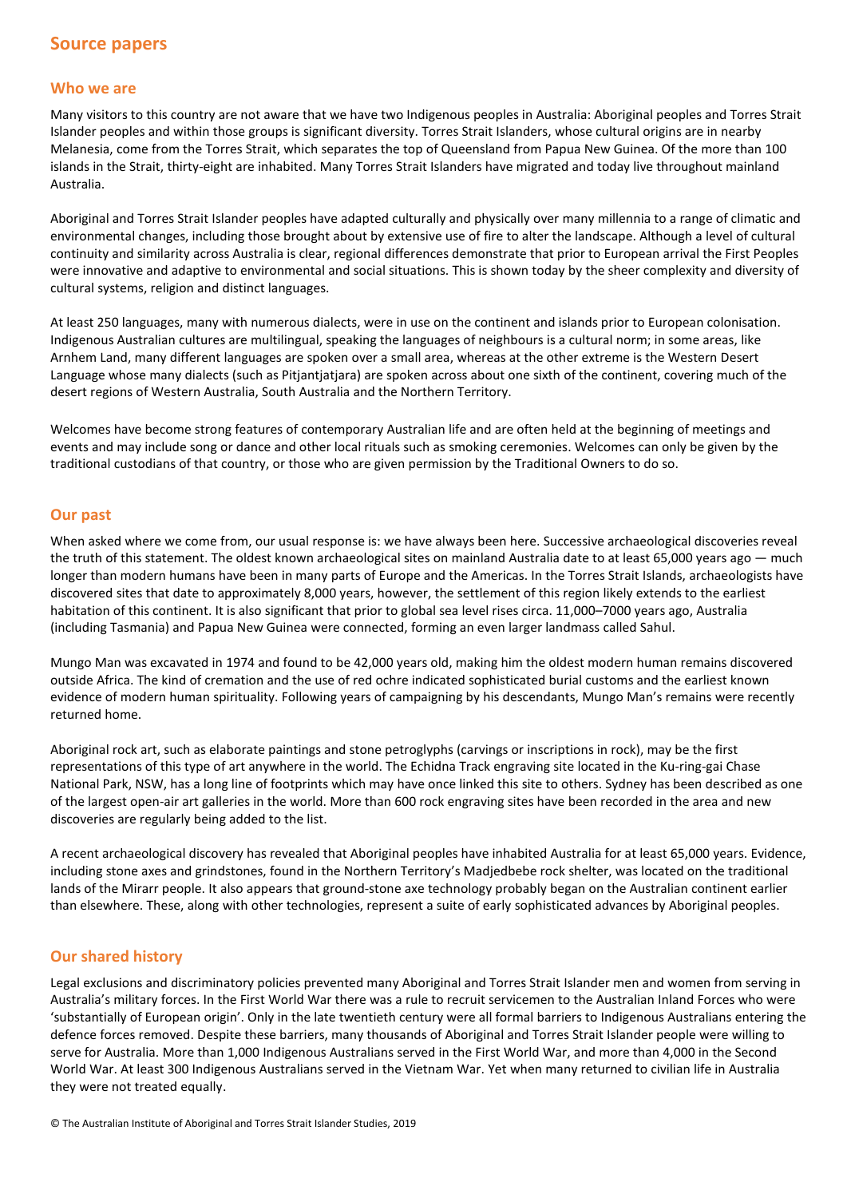## **Who we are**

Many visitors to this country are not aware that we have two Indigenous peoples in Australia: Aboriginal peoples and Torres Strait Islander peoples and within those groups is significant diversity. Torres Strait Islanders, whose cultural origins are in nearby Melanesia, come from the Torres Strait, which separates the top of Queensland from Papua New Guinea. Of the more than 100 islands in the Strait, thirty-eight are inhabited. Many Torres Strait Islanders have migrated and today live throughout mainland Australia.

Aboriginal and Torres Strait Islander peoples have adapted culturally and physically over many millennia to a range of climatic and environmental changes, including those brought about by extensive use of fire to alter the landscape. Although a level of cultural continuity and similarity across Australia is clear, regional differences demonstrate that prior to European arrival the First Peoples were innovative and adaptive to environmental and social situations. This is shown today by the sheer complexity and diversity of cultural systems, religion and distinct languages.

At least 250 languages, many with numerous dialects, were in use on the continent and islands prior to European colonisation. Indigenous Australian cultures are multilingual, speaking the languages of neighbours is a cultural norm; in some areas, like Arnhem Land, many different languages are spoken over a small area, whereas at the other extreme is the Western Desert Language whose many dialects (such as Pitjantjatjara) are spoken across about one sixth of the continent, covering much of the desert regions of Western Australia, South Australia and the Northern Territory.

Welcomes have become strong features of contemporary Australian life and are often held at the beginning of meetings and events and may include song or dance and other local rituals such as smoking ceremonies. Welcomes can only be given by the traditional custodians of that country, or those who are given permission by the Traditional Owners to do so.

## **Our past**

When asked where we come from, our usual response is: we have always been here. Successive archaeological discoveries reveal the truth of this statement. The oldest known archaeological sites on mainland Australia date to at least 65,000 years ago — much longer than modern humans have been in many parts of Europe and the Americas. In the Torres Strait Islands, archaeologists have discovered sites that date to approximately 8,000 years, however, the settlement of this region likely extends to the earliest habitation of this continent. It is also significant that prior to global sea level rises circa. 11,000–7000 years ago, Australia (including Tasmania) and Papua New Guinea were connected, forming an even larger landmass called Sahul.

Mungo Man was excavated in 1974 and found to be 42,000 years old, making him the oldest modern human remains discovered outside Africa. The kind of cremation and the use of red ochre indicated sophisticated burial customs and the earliest known evidence of modern human spirituality. Following years of campaigning by his descendants, Mungo Man's remains were recently returned home.

Aboriginal rock art, such as elaborate paintings and stone petroglyphs (carvings or inscriptions in rock), may be the first representations of this type of art anywhere in the world. The Echidna Track engraving site located in the Ku-ring-gai Chase National Park, NSW, has a long line of footprints which may have once linked this site to others. Sydney has been described as one of the largest open-air art galleries in the world. More than 600 rock engraving sites have been recorded in the area and new discoveries are regularly being added to the list.

A recent archaeological discovery has revealed that Aboriginal peoples have inhabited Australia for at least 65,000 years. Evidence, including stone axes and grindstones, found in the Northern Territory's Madjedbebe rock shelter, was located on the traditional lands of the Mirarr people. It also appears that ground-stone axe technology probably began on the Australian continent earlier than elsewhere. These, along with other technologies, represent a suite of early sophisticated advances by Aboriginal peoples.

## **Our shared history**

Legal exclusions and discriminatory policies prevented many Aboriginal and Torres Strait Islander men and women from serving in Australia's military forces. In the First World War there was a rule to recruit servicemen to the Australian Inland Forces who were 'substantially of European origin'. Only in the late twentieth century were all formal barriers to Indigenous Australians entering the defence forces removed. Despite these barriers, many thousands of Aboriginal and Torres Strait Islander people were willing to serve for Australia. More than 1,000 Indigenous Australians served in the First World War, and more than 4,000 in the Second World War. At least 300 Indigenous Australians served in the Vietnam War. Yet when many returned to civilian life in Australia they were not treated equally.